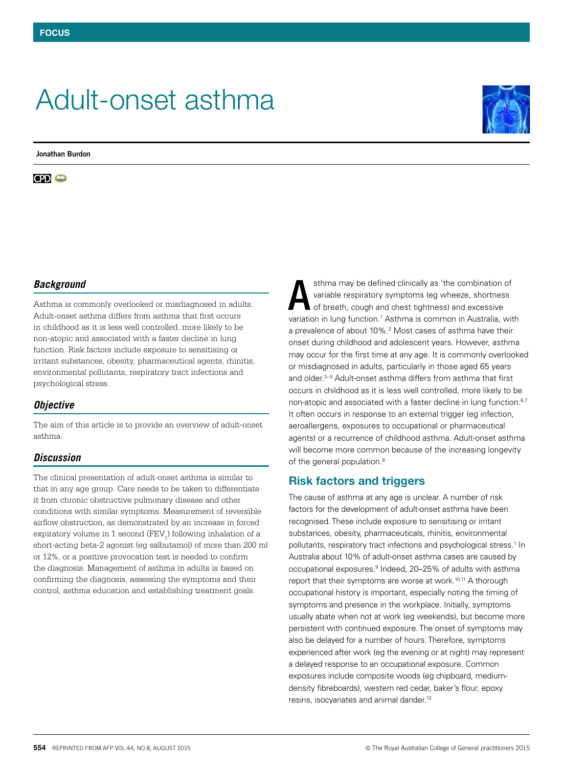# Adult-onset asthma

**Jonathan Burdon**

**CD** o



## *Background*

Asthma is commonly overlooked or misdiagnosed in adults. Adult-onset asthma differs from asthma that first occurs in childhood as it is less well controlled, more likely to be non-atopic and associated with a faster decline in lung function. Risk factors include exposure to sensitising or irritant substances, obesity, pharmaceutical agents, rhinitis, environmental pollutants, respiratory tract infections and psychological stress.

## *Objective*

The aim of this article is to provide an overview of adult-onset asthma.

## *Discussion*

The clinical presentation of adult-onset asthma is similar to that in any age group. Care needs to be taken to differentiate it from chronic obstructive pulmonary disease and other conditions with similar symptoms. Measurement of reversible airflow obstruction, as demonstrated by an increase in forced expiratory volume in 1 second  $(\text{FEV}_1)$  following inhalation of a short-acting beta-2 agonist (eg salbutamol) of more than 200 ml or 12%, or a positive provocation test is needed to confirm the diagnosis. Management of asthma in adults is based on confirming the diagnosis, assessing the symptoms and their control, asthma education and establishing treatment goals.

sthma may be defined clinically as 'the combination of variable respiratory symptoms (eg wheeze, shortness of breath, cough and chest tightness) and excessive variation in lung function.<sup>1</sup> Asthma is common in Australia, with a prevalence of about 10%.<sup>2</sup> Most cases of asthma have their onset during childhood and adolescent years. However, asthma may occur for the first time at any age. It is commonly overlooked or misdiagnosed in adults, particularly in those aged 65 years and older.<sup>3–5</sup> Adult-onset asthma differs from asthma that first occurs in childhood as it is less well controlled, more likely to be non-atopic and associated with a faster decline in lung function.<sup>6,7</sup> It often occurs in response to an external trigger (eg infection, aeroallergens, exposures to occupational or pharmaceutical agents) or a recurrence of childhood asthma. Adult-onset asthma will become more common because of the increasing longevity of the general population.<sup>8</sup> A

# Risk factors and triggers

The cause of asthma at any age is unclear. A number of risk factors for the development of adult-onset asthma have been recognised. These include exposure to sensitising or irritant substances, obesity, pharmaceuticals, rhinitis, environmental pollutants, respiratory tract infections and psychological stress.<sup>1</sup> In Australia about 10% of adult-onset asthma cases are caused by occupational exposures.<sup>9</sup> Indeed, 20–25% of adults with asthma report that their symptoms are worse at work.<sup>10,11</sup> A thorough occupational history is important, especially noting the timing of symptoms and presence in the workplace. Initially, symptoms usually abate when not at work (eg weekends), but become more persistent with continued exposure. The onset of symptoms may also be delayed for a number of hours. Therefore, symptoms experienced after work (eg the evening or at night) may represent a delayed response to an occupational exposure. Common exposures include composite woods (eg chipboard, mediumdensity fibreboards), western red cedar, baker's flour, epoxy resins, isocyanates and animal dander.12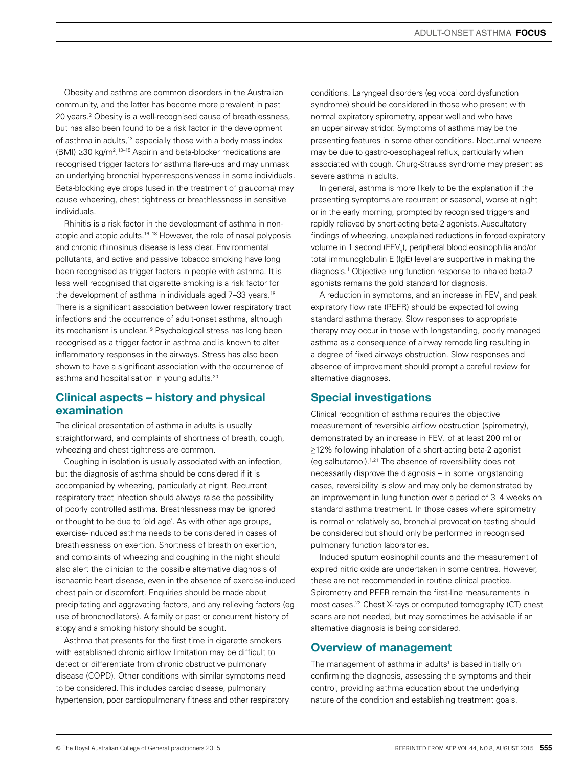Obesity and asthma are common disorders in the Australian community, and the latter has become more prevalent in past 20 years.<sup>2</sup> Obesity is a well-recognised cause of breathlessness, but has also been found to be a risk factor in the development of asthma in adults,<sup>13</sup> especially those with a body mass index (BMI) *≥*30 kg/m2 . 13–15 Aspirin and beta-blocker medications are recognised trigger factors for asthma flare-ups and may unmask an underlying bronchial hyper-responsiveness in some individuals. Beta-blocking eye drops (used in the treatment of glaucoma) may cause wheezing, chest tightness or breathlessness in sensitive individuals.

Rhinitis is a risk factor in the development of asthma in nonatopic and atopic adults.<sup>16–18</sup> However, the role of nasal polyposis and chronic rhinosinus disease is less clear. Environmental pollutants, and active and passive tobacco smoking have long been recognised as trigger factors in people with asthma. It is less well recognised that cigarette smoking is a risk factor for the development of asthma in individuals aged 7-33 years.<sup>18</sup> There is a significant association between lower respiratory tract infections and the occurrence of adult-onset asthma, although its mechanism is unclear.<sup>19</sup> Psychological stress has long been recognised as a trigger factor in asthma and is known to alter inflammatory responses in the airways. Stress has also been shown to have a significant association with the occurrence of asthma and hospitalisation in young adults.<sup>20</sup>

# Clinical aspects – history and physical examination

The clinical presentation of asthma in adults is usually straightforward, and complaints of shortness of breath, cough, wheezing and chest tightness are common.

Coughing in isolation is usually associated with an infection, but the diagnosis of asthma should be considered if it is accompanied by wheezing, particularly at night. Recurrent respiratory tract infection should always raise the possibility of poorly controlled asthma. Breathlessness may be ignored or thought to be due to 'old age'. As with other age groups, exercise-induced asthma needs to be considered in cases of breathlessness on exertion. Shortness of breath on exertion, and complaints of wheezing and coughing in the night should also alert the clinician to the possible alternative diagnosis of ischaemic heart disease, even in the absence of exercise-induced chest pain or discomfort. Enquiries should be made about precipitating and aggravating factors, and any relieving factors (eg use of bronchodilators). A family or past or concurrent history of atopy and a smoking history should be sought.

Asthma that presents for the first time in cigarette smokers with established chronic airflow limitation may be difficult to detect or differentiate from chronic obstructive pulmonary disease (COPD). Other conditions with similar symptoms need to be considered. This includes cardiac disease, pulmonary hypertension, poor cardiopulmonary fitness and other respiratory conditions. Laryngeal disorders (eg vocal cord dysfunction syndrome) should be considered in those who present with normal expiratory spirometry, appear well and who have an upper airway stridor. Symptoms of asthma may be the presenting features in some other conditions. Nocturnal wheeze may be due to gastro-oesophageal reflux, particularly when associated with cough. Churg-Strauss syndrome may present as severe asthma in adults.

In general, asthma is more likely to be the explanation if the presenting symptoms are recurrent or seasonal, worse at night or in the early morning, prompted by recognised triggers and rapidly relieved by short-acting beta-2 agonists. Auscultatory findings of wheezing, unexplained reductions in forced expiratory volume in 1 second (FEV<sub>1</sub>), peripheral blood eosinophilia and/or total immunoglobulin E (IgE) level are supportive in making the diagnosis.1 Objective lung function response to inhaled beta-2 agonists remains the gold standard for diagnosis.

A reduction in symptoms, and an increase in  $\mathsf{FEV}_1$  and peak expiratory flow rate (PEFR) should be expected following standard asthma therapy. Slow responses to appropriate therapy may occur in those with longstanding, poorly managed asthma as a consequence of airway remodelling resulting in a degree of fixed airways obstruction. Slow responses and absence of improvement should prompt a careful review for alternative diagnoses.

# Special investigations

Clinical recognition of asthma requires the objective measurement of reversible airflow obstruction (spirometry), demonstrated by an increase in  $\mathsf{FEV}_{\mathsf{1}}$  of at least 200 ml or ≥12% following inhalation of a short-acting beta-2 agonist (eg salbutamol).1,21 The absence of reversibility does not necessarily disprove the diagnosis *–* in some longstanding cases, reversibility is slow and may only be demonstrated by an improvement in lung function over a period of 3*–*4 weeks on standard asthma treatment. In those cases where spirometry is normal or relatively so, bronchial provocation testing should be considered but should only be performed in recognised pulmonary function laboratories.

Induced sputum eosinophil counts and the measurement of expired nitric oxide are undertaken in some centres. However, these are not recommended in routine clinical practice. Spirometry and PEFR remain the first-line measurements in most cases.22 Chest X-rays or computed tomography (CT) chest scans are not needed, but may sometimes be advisable if an alternative diagnosis is being considered.

# Overview of management

The management of asthma in adults<sup>1</sup> is based initially on confirming the diagnosis, assessing the symptoms and their control, providing asthma education about the underlying nature of the condition and establishing treatment goals.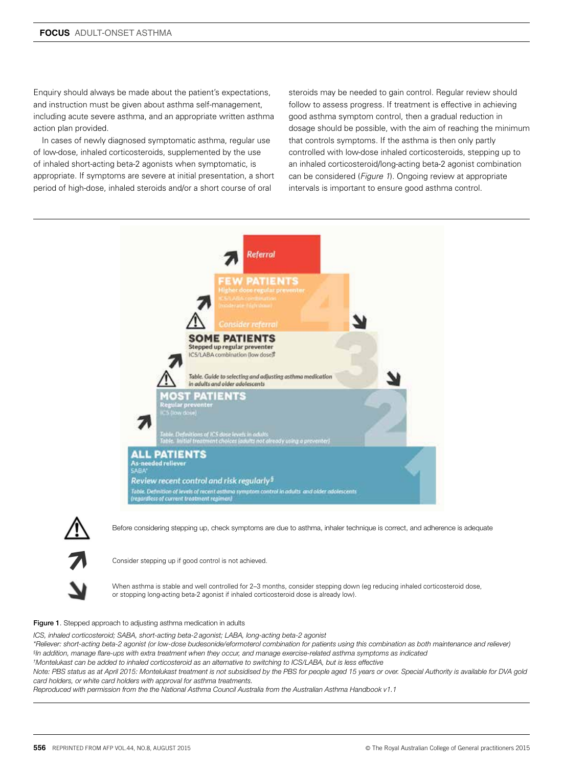Enquiry should always be made about the patient's expectations, and instruction must be given about asthma self-management, including acute severe asthma, and an appropriate written asthma action plan provided.

In cases of newly diagnosed symptomatic asthma, regular use of low-dose, inhaled corticosteroids, supplemented by the use of inhaled short-acting beta-2 agonists when symptomatic, is appropriate. If symptoms are severe at initial presentation, a short period of high-dose, inhaled steroids and/or a short course of oral

steroids may be needed to gain control. Regular review should follow to assess progress. If treatment is effective in achieving good asthma symptom control, then a gradual reduction in dosage should be possible, with the aim of reaching the minimum that controls symptoms. If the asthma is then only partly controlled with low-dose inhaled corticosteroids, stepping up to an inhaled corticosteroid/long-acting beta-2 agonist combination can be considered (*Figure 1*). Ongoing review at appropriate intervals is important to ensure good asthma control.



Before considering stepping up, check symptoms are due to asthma, inhaler technique is correct, and adherence is adequate

Consider stepping up if good control is not achieved.

When asthma is stable and well controlled for 2–3 months, consider stepping down (eq reducing inhaled corticosteroid dose, or stopping long-acting beta-2 agonist if inhaled corticosteroid dose is already low).

#### Figure 1. Stepped approach to adjusting asthma medication in adults

*ICS, inhaled corticosteroid; SABA, short-acting beta-2 agonist; LABA, long-acting beta-2 agonist*

*\*Reliever: short-acting beta-2 agonist (or low-dose budesonide/eformoterol combination for patients using this combination as both maintenance and reliever) § In addition, manage flare-ups with extra treatment when they occur, and manage exercise-related asthma symptoms as indicated*

*† Montelukast can be added to inhaled corticosteroid as an alternative to switching to ICS/LABA, but is less effective*

*Note: PBS status as at April 2015: Montelukast treatment is not subsidised by the PBS for people aged 15 years or over. Special Authority is available for DVA gold card holders, or white card holders with approval for asthma treatments.*

*Reproduced with permission from the the National Asthma Council Australia from the Australian Asthma Handbook v1.1*